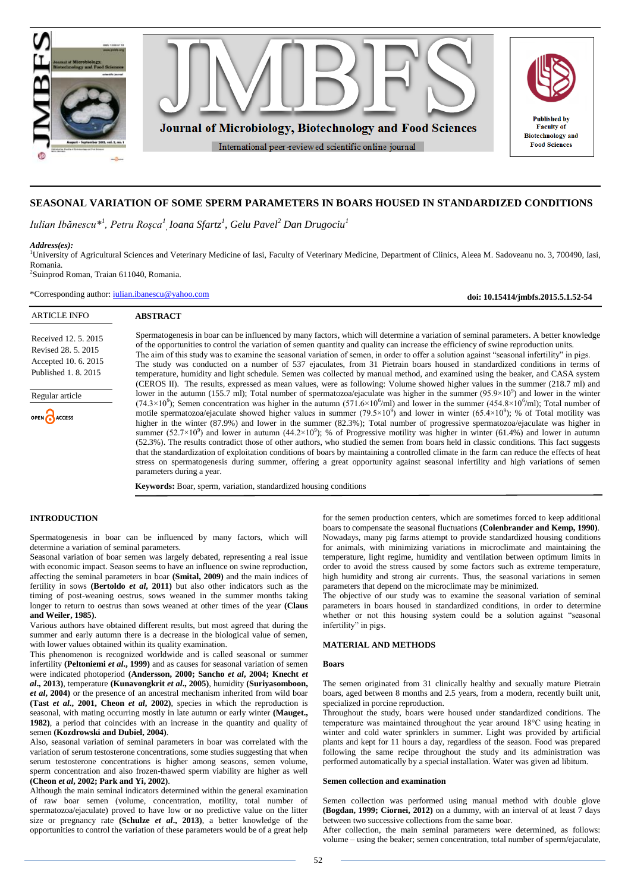

# **SEASONAL VARIATION OF SOME SPERM PARAMETERS IN BOARS HOUSED IN STANDARDIZED CONDITIONS**

*Iulian Ibănescu\*<sup>1</sup> , Petru Roşca<sup>1</sup> , Ioana Sfartz<sup>1</sup> , Gelu Pavel<sup>2</sup> Dan Drugociu<sup>1</sup>*

*Address(es):* <sup>1</sup>University of Agricultural Sciences and Veterinary Medicine of Iasi, Faculty of Veterinary Medicine, Department of Clinics, Aleea M. Sadoveanu no. 3, 700490, Iasi, Romania.

2 Suinprod Roman, Traian 611040, Romania.

\*Corresponding author: [iulian.ibanescu@yahoo.com](mailto:iulian.ibanescu@yahoo.com)

**doi: 10.15414/jmbfs.2015.5.1.52-54**ARTICLE INFO **ABSTRACT** Spermatogenesis in boar can be influenced by many factors, which will determine a variation of seminal parameters. A better knowledge Received 12. 5. 2015 of the opportunities to control the variation of semen quantity and quality can increase the efficiency of swine reproduction units. Revised 28. 5. 2015 The aim of this study was to examine the seasonal variation of semen, in order to offer a solution against "seasonal infertility" in pigs. Accepted 10. 6. 2015 The study was conducted on a number of 537 ejaculates, from 31 Pietrain boars housed in standardized conditions in terms of Published 1. 8. 2015 temperature, humidity and light schedule. Semen was collected by manual method, and examined using the beaker, and CASA system (CEROS II). The results, expressed as mean values, were as following: Volume showed higher values in the summer (218.7 ml) and lower in the autumn (155.7 ml); Total number of spermatozoa/ejaculate was higher in the summer ( $95.9 \times 10^9$ ) and lower in the winter Regular article  $(74.3 \times 10^9)$ ; Semen concentration was higher in the autumn  $(571.6 \times 10^6$ /ml) and lower in the summer  $(454.8 \times 10^6$ /ml); Total number of motile spermatozoa/ejaculate showed higher values in summer  $(79.5 \times 10^9)$  and lower in winter  $(65.4 \times 10^9)$ ; % of Total motility was OPEN CACCESS higher in the winter (87.9%) and lower in the summer (82.3%); Total number of progressive spermatozoa/ejaculate was higher in summer  $(52.7 \times 10^9)$  and lower in autumn  $(44.2 \times 10^9)$ ; % of Progressive motility was higher in winter (61.4%) and lower in autumn (52.3%). The results contradict those of other authors, who studied the semen from boars held in classic conditions. This fact suggests that the standardization of exploitation conditions of boars by maintaining a controlled climate in the farm can reduce the effects of heat stress on spermatogenesis during summer, offering a great opportunity against seasonal infertility and high variations of semen parameters during a year.

**Keywords:** Boar, sperm, variation, standardized housing conditions

#### **INTRODUCTION**

Spermatogenesis in boar can be influenced by many factors, which will determine a variation of seminal parameters.

Seasonal variation of boar semen was largely debated, representing a real issue with economic impact. Season seems to have an influence on swine reproduction, affecting the seminal parameters in boar **(Smital, 2009)** and the main indices of fertility in sows **(Bertoldo** *et al***, 2011)** but also other indicators such as the timing of post-weaning oestrus, sows weaned in the summer months taking longer to return to oestrus than sows weaned at other times of the year **(Claus and Weiler, 1985)**.

Various authors have obtained different results, but most agreed that during the summer and early autumn there is a decrease in the biological value of semen, with lower values obtained within its quality examination.

This phenomenon is recognized worldwide and is called seasonal or summer infertility **(Peltoniemi** *et al***., 1999)** and as causes for seasonal variation of semen were indicated photoperiod **(Andersson, 2000; Sancho** *et al***, 2004; Knecht** *et al***., 2013)**, temperature **(Kunavongkrit** *et al***., 2005)**, humidity **(Suriyasomboon,**  *et al***, 2004)** or the presence of an ancestral mechanism inherited from wild boar **(Tast** *et al***., 2001, Cheon** *et al***, 2002)**, species in which the reproduction is seasonal, with mating occurring mostly in late autumn or early winter **(Mauget., 1982)**, a period that coincides with an increase in the quantity and quality of semen **(Kozdrowski and Dubiel, 2004)**.

Also, seasonal variation of seminal parameters in boar was correlated with the variation of serum testosterone concentrations, some studies suggesting that when serum testosterone concentrations is higher among seasons, semen volume, sperm concentration and also frozen-thawed sperm viability are higher as well **(Cheon** *et al***, 2002; Park and Yi, 2002)**.

Although the main seminal indicators determined within the general examination of raw boar semen (volume, concentration, motility, total number of spermatozoa/ejaculate) proved to have low or no predictive value on the litter size or pregnancy rate **(Schulze** *et al***., 2013)**, a better knowledge of the opportunities to control the variation of these parameters would be of a great help for the semen production centers, which are sometimes forced to keep additional boars to compensate the seasonal fluctuations **(Colenbrander and Kemp, 1990)**. Nowadays, many pig farms attempt to provide standardized housing conditions for animals, with minimizing variations in microclimate and maintaining the temperature, light regime, humidity and ventilation between optimum limits in order to avoid the stress caused by some factors such as extreme temperature, high humidity and strong air currents. Thus, the seasonal variations in semen parameters that depend on the microclimate may be minimized.

The objective of our study was to examine the seasonal variation of seminal parameters in boars housed in standardized conditions, in order to determine whether or not this housing system could be a solution against "seasonal infertility" in pigs.

## **MATERIAL AND METHODS**

#### **Boars**

The semen originated from 31 clinically healthy and sexually mature Pietrain boars, aged between 8 months and 2.5 years, from a modern, recently built unit, specialized in porcine reproduction.

Throughout the study, boars were housed under standardized conditions. The temperature was maintained throughout the year around 18°C using heating in winter and cold water sprinklers in summer. Light was provided by artificial plants and kept for 11 hours a day, regardless of the season. Food was prepared following the same recipe throughout the study and its administration was performed automatically by a special installation. Water was given ad libitum.

#### **Semen collection and examination**

Semen collection was performed using manual method with double glove **(Bogdan, 1999; Ciornei, 2012)** on a dummy, with an interval of at least 7 days between two successive collections from the same boar.

After collection, the main seminal parameters were determined, as follows: volume – using the beaker; semen concentration, total number of sperm/ejaculate,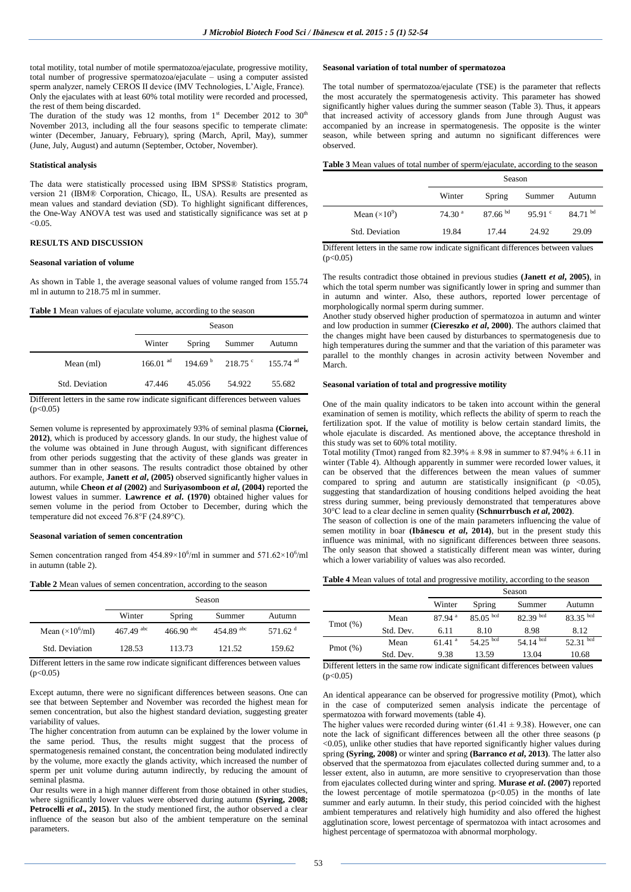total motility, total number of motile spermatozoa/ejaculate, progressive motility, total number of progressive spermatozoa/ejaculate – using a computer assisted sperm analyzer, namely CEROS II device (IMV Technologies, L'Aigle, France). Only the ejaculates with at least 60% total motility were recorded and processed, the rest of them being discarded.

The duration of the study was 12 months, from  $1<sup>st</sup>$  December 2012 to 30<sup>th</sup> November 2013, including all the four seasons specific to temperate climate: winter (December, January, February), spring (March, April, May), summer (June, July, August) and autumn (September, October, November).

#### **Statistical analysis**

The data were statistically processed using IBM SPSS® Statistics program, version 21 (IBM® Corporation, Chicago, IL, USA). Results are presented as mean values and standard deviation (SD). To highlight significant differences, the One-Way ANOVA test was used and statistically significance was set at p  $< 0.05$ .

## **RESULTS AND DISCUSSION**

#### **Seasonal variation of volume**

As shown in Table 1, the average seasonal values of volume ranged from 155.74 ml in autumn to 218.75 ml in summer.

#### **Table 1** Mean values of ejaculate volume, according to the season

|                | Season                 |        |                                                                |        |  |
|----------------|------------------------|--------|----------------------------------------------------------------|--------|--|
|                | Winter                 | Spring | Summer                                                         | Autumn |  |
| Mean (ml)      | $166.01$ <sup>ad</sup> |        | 194.69 $\frac{6}{1}$ 218.75 $\frac{6}{1}$ 155.74 <sup>ad</sup> |        |  |
| Std. Deviation | 47.446                 | 45.056 | 54.922                                                         | 55.682 |  |

Different letters in the same row indicate significant differences between values  $(p<0.05)$ 

Semen volume is represented by approximately 93% of seminal plasma **(Ciornei, 2012)**, which is produced by accessory glands. In our study, the highest value of the volume was obtained in June through August, with significant differences from other periods suggesting that the activity of these glands was greater in summer than in other seasons. The results contradict those obtained by other authors. For example, **Janett** *et al***, (2005)** observed significantly higher values in autumn, while **Cheon** *et al* **(2002)** and **Suriyasomboon** *et al***, (2004)** reported the lowest values in summer. **Lawrence** *et al***. (1970)** obtained higher values for semen volume in the period from October to December, during which the temperature did not exceed 76.8°F (24.89°C).

#### **Seasonal variation of semen concentration**

Semen concentration ranged from  $454.89 \times 10^6$ /ml in summer and  $571.62 \times 10^6$ /ml in autumn (table 2).

|  |  |  | <b>Table 2</b> Mean values of semen concentration, according to the season |  |  |
|--|--|--|----------------------------------------------------------------------------|--|--|
|--|--|--|----------------------------------------------------------------------------|--|--|

|                          | Season                  |                                |                    |                   |
|--------------------------|-------------------------|--------------------------------|--------------------|-------------------|
|                          | Winter                  | Spring                         | Summer             | Autumn            |
| Mean $(\times 10^6$ /ml) | $467.49$ <sup>abc</sup> | $466.90 \text{ }^{\text{abc}}$ | 454.89 $\rm^{abc}$ | 571.62 $^{\rm d}$ |
| Std. Deviation           | 128.53                  | 113.73                         | 121.52             | 159.62            |

Different letters in the same row indicate significant differences between values  $(p<0.05)$ 

Except autumn, there were no significant differences between seasons. One can see that between September and November was recorded the highest mean for semen concentration, but also the highest standard deviation, suggesting greater variability of values.

The higher concentration from autumn can be explained by the lower volume in the same period. Thus, the results might suggest that the process of spermatogenesis remained constant, the concentration being modulated indirectly by the volume, more exactly the glands activity, which increased the number of sperm per unit volume during autumn indirectly, by reducing the amount of seminal plasma.

Our results were in a high manner different from those obtained in other studies, where significantly lower values were observed during autumn **(Syring, 2008; Petrocelli** *et al.***, 2015**). In the study mentioned first, the author observed a clear influence of the season but also of the ambient temperature on the seminal parameters.

## **Seasonal variation of total number of spermatozoa**

The total number of spermatozoa/ejaculate (TSE) is the parameter that reflects the most accurately the spermatogenesis activity. This parameter has showed significantly higher values during the summer season (Table 3). Thus, it appears that increased activity of accessory glands from June through August was accompanied by an increase in spermatogenesis. The opposite is the winter season, while between spring and autumn no significant differences were observed.

**Table 3** Mean values of total number of sperm/ejaculate, according to the season

|                      | Season             |              |                 |            |
|----------------------|--------------------|--------------|-----------------|------------|
|                      | Winter             | Spring       | Summer          | Autumn     |
| Mean $(\times 10^9)$ | 74.30 <sup>a</sup> | $87.66^{bd}$ | 95.91 $\degree$ | $84.71$ bd |
| Std. Deviation       | 19.84              | 17.44        | 24.92           | 29.09      |

Different letters in the same row indicate significant differences between values  $(p<0.05)$ 

The results contradict those obtained in previous studies **(Janett** *et al***, 2005)**, in which the total sperm number was significantly lower in spring and summer than in autumn and winter. Also, these authors, reported lower percentage of morphologically normal sperm during summer.

Another study observed higher production of spermatozoa in autumn and winter and low production in summer **(Ciereszko** *et al***, 2000)**. The authors claimed that the changes might have been caused by disturbances to spermatogenesis due to high temperatures during the summer and that the variation of this parameter was parallel to the monthly changes in acrosin activity between November and March.

#### **Seasonal variation of total and progressive motility**

One of the main quality indicators to be taken into account within the general examination of semen is motility, which reflects the ability of sperm to reach the fertilization spot. If the value of motility is below certain standard limits, the whole ejaculate is discarded. As mentioned above, the acceptance threshold in this study was set to 60% total motility.

Total motility (Tmot) ranged from  $82.39\% \pm 8.98$  in summer to  $87.94\% \pm 6.11$  in winter (Table 4). Although apparently in summer were recorded lower values, it can be observed that the differences between the mean values of summer compared to spring and autumn are statistically insignificant ( $p \le 0.05$ ), suggesting that standardization of housing conditions helped avoiding the heat stress during summer, being previously demonstrated that temperatures above 30°C lead to a clear decline in semen quality **(Schnurrbusch** *et al***, 2002)**.

The season of collection is one of the main parameters influencing the value of semen motility in boar **(Ibănescu** *et al***, 2014)**, but in the present study this influence was minimal, with no significant differences between three seasons. The only season that showed a statistically different mean was winter, during which a lower variability of values was also recorded.

| Table 4 Mean values of total and progressive motility, according to the season |  |
|--------------------------------------------------------------------------------|--|
|--------------------------------------------------------------------------------|--|

|              |               | Season               |             |                |             |  |
|--------------|---------------|----------------------|-------------|----------------|-------------|--|
|              |               | Winter               | Spring      | Summer         | Autumn      |  |
| $Tmot (\% )$ | Mean          | $87.94$ <sup>a</sup> | $85.05$ bcd | $82.39$ bcd    | $83.35$ bcd |  |
|              | Std. Dev.     | 6.11                 | 8.10        | 8.98           | 8.12        |  |
|              | Mean          | $61.41$ <sup>a</sup> | $54.25$ bcd | 54.14 $^{bcd}$ | $52.31$ bcd |  |
| Pmot $(\%)$  | Std. Dev.     | 9.38                 | 13.59       | 13.04          | 10.68       |  |
| $-100$       | $\sim$ $\sim$ | .                    |             | $\cdots$       |             |  |

Different letters in the same row indicate significant differences between values  $(n<0.05)$ 

An identical appearance can be observed for progressive motility (Pmot), which in the case of computerized semen analysis indicate the percentage of spermatozoa with forward movements (table 4).

The higher values were recorded during winter  $(61.41 \pm 9.38)$ . However, one can note the lack of significant differences between all the other three seasons (p <0.05), unlike other studies that have reported significantly higher values during spring **(Syring, 2008)** or winter and spring **(Barranco** *et al***, 2013)**. The latter also observed that the spermatozoa from ejaculates collected during summer and, to a lesser extent, also in autumn, are more sensitive to cryopreservation than those from ejaculates collected during winter and spring. **Murase** *et al***. (2007)** reported the lowest percentage of motile spermatozoa (p<0.05) in the months of late summer and early autumn. In their study, this period coincided with the highest ambient temperatures and relatively high humidity and also offered the highest agglutination score, lowest percentage of spermatozoa with intact acrosomes and highest percentage of spermatozoa with abnormal morphology.